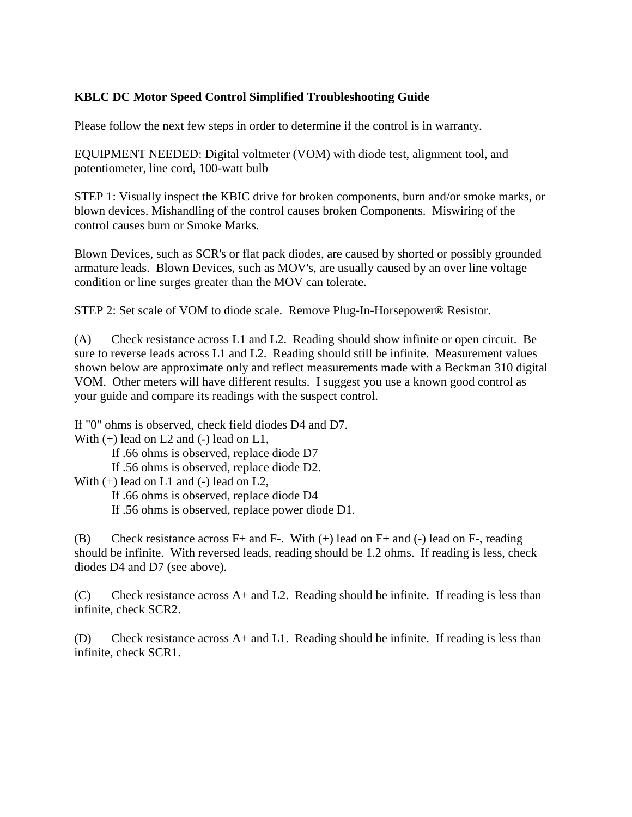## **KBLC DC Motor Speed Control Simplified Troubleshooting Guide**

Please follow the next few steps in order to determine if the control is in warranty.

EQUIPMENT NEEDED: Digital voltmeter (VOM) with diode test, alignment tool, and potentiometer, line cord, 100-watt bulb

STEP 1: Visually inspect the KBIC drive for broken components, burn and/or smoke marks, or blown devices. Mishandling of the control causes broken Components. Miswiring of the control causes burn or Smoke Marks.

Blown Devices, such as SCR's or flat pack diodes, are caused by shorted or possibly grounded armature leads. Blown Devices, such as MOV's, are usually caused by an over line voltage condition or line surges greater than the MOV can tolerate.

STEP 2: Set scale of VOM to diode scale. Remove Plug-In-Horsepower® Resistor.

(A) Check resistance across L1 and L2. Reading should show infinite or open circuit. Be sure to reverse leads across L1 and L2. Reading should still be infinite. Measurement values shown below are approximate only and reflect measurements made with a Beckman 310 digital VOM. Other meters will have different results. I suggest you use a known good control as your guide and compare its readings with the suspect control.

If "0" ohms is observed, check field diodes D4 and D7. With  $(+)$  lead on L2 and  $(-)$  lead on L1,

If .66 ohms is observed, replace diode D7

If .56 ohms is observed, replace diode D2.

With  $(+)$  lead on L1 and  $(-)$  lead on L2,

If .66 ohms is observed, replace diode D4

If .56 ohms is observed, replace power diode D1.

(B) Check resistance across  $F+$  and  $F-$ . With  $(+)$  lead on  $F+$  and  $(-)$  lead on  $F-$ , reading should be infinite. With reversed leads, reading should be 1.2 ohms. If reading is less, check diodes D4 and D7 (see above).

(C) Check resistance across A+ and L2. Reading should be infinite. If reading is less than infinite, check SCR2.

(D) Check resistance across A+ and L1. Reading should be infinite. If reading is less than infinite, check SCR1.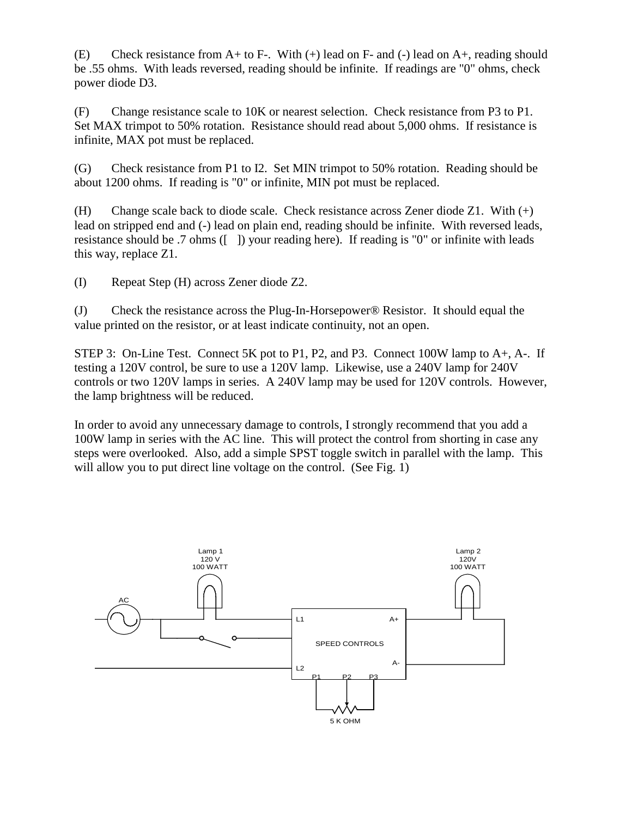(E) Check resistance from  $A$  + to F-. With (+) lead on F- and (-) lead on  $A$ +, reading should be .55 ohms. With leads reversed, reading should be infinite. If readings are "0" ohms, check power diode D3.

(F) Change resistance scale to 10K or nearest selection. Check resistance from P3 to P1. Set MAX trimpot to 50% rotation. Resistance should read about 5,000 ohms. If resistance is infinite, MAX pot must be replaced.

(G) Check resistance from P1 to I2. Set MIN trimpot to 50% rotation. Reading should be about 1200 ohms. If reading is "0" or infinite, MIN pot must be replaced.

(H) Change scale back to diode scale. Check resistance across Zener diode Z1. With (+) lead on stripped end and (-) lead on plain end, reading should be infinite. With reversed leads, resistance should be .7 ohms ([ ]) your reading here). If reading is "0" or infinite with leads this way, replace Z1.

(I) Repeat Step (H) across Zener diode Z2.

(J) Check the resistance across the Plug-In-Horsepower® Resistor. It should equal the value printed on the resistor, or at least indicate continuity, not an open.

STEP 3: On-Line Test. Connect 5K pot to P1, P2, and P3. Connect 100W lamp to A+, A-. If testing a 120V control, be sure to use a 120V lamp. Likewise, use a 240V lamp for 240V controls or two 120V lamps in series. A 240V lamp may be used for 120V controls. However, the lamp brightness will be reduced.

In order to avoid any unnecessary damage to controls, I strongly recommend that you add a 100W lamp in series with the AC line. This will protect the control from shorting in case any steps were overlooked. Also, add a simple SPST toggle switch in parallel with the lamp. This will allow you to put direct line voltage on the control. (See Fig. 1)